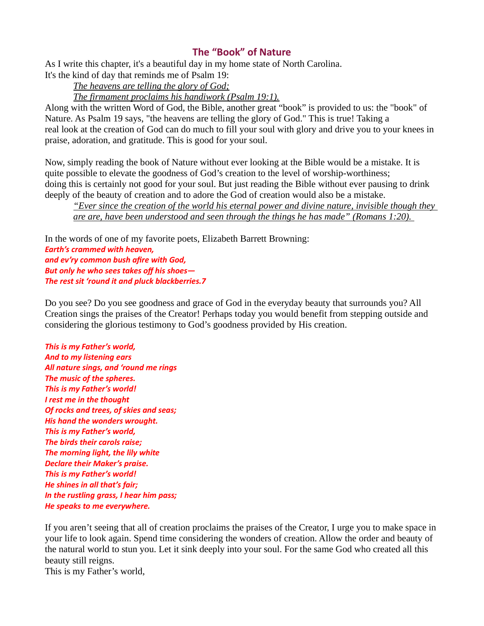## The "Book" of Nature

As I write this chapter, it's a beautiful day in my home state of North Carolina.

It's the kind of day that reminds me of Psalm 19:

The heavens are telling the glory of God;

The firmament proclaims his handiwork (Psalm 19:1).

Along with the written Word of God, the Bible, another great "book" is provided to us: the "book" of Nature. As Psalm 19 says, "the heavens are telling the glory of God." This is true! Taking a real look at the creation of God can do much to fill your soul with glory and drive you to your knees in praise, adoration, and gratitude. This is good for your soul.

Now, simply reading the book of Nature without ever looking at the Bible would be a mistake. It is quite possible to elevate the goodness of God's creation to the level of worship-worthiness; doing this is certainly not good for your soul. But just reading the Bible without ever pausing to drink deeply of the beauty of creation and to adore the God of creation would also be a mistake.

"Ever since the creation of the world his eternal power and divine nature, invisible though they are are, have been understood and seen through the things he has made" (Romans 1:20).

In the words of one of my favorite poets, Elizabeth Barrett Browning: Earth's crammed with heaven, and ev'ry common bush afire with God, But only he who sees takes off his shoes— The rest sit 'round it and pluck blackberries.7

Do you see? Do you see goodness and grace of God in the everyday beauty that surrounds you? All Creation sings the praises of the Creator! Perhaps today you would benefit from stepping outside and considering the glorious testimony to God's goodness provided by His creation.

This is my Father's world, And to my listening ears All nature sings, and 'round me rings The music of the spheres. This is my Father's world! I rest me in the thought Of rocks and trees, of skies and seas; His hand the wonders wrought. This is my Father's world, The birds their carols raise; The morning light, the lily white Declare their Maker's praise. This is my Father's world! He shines in all that's fair; In the rustling grass, I hear him pass; He speaks to me everywhere.

If you aren't seeing that all of creation proclaims the praises of the Creator, I urge you to make space in your life to look again. Spend time considering the wonders of creation. Allow the order and beauty of the natural world to stun you. Let it sink deeply into your soul. For the same God who created all this beauty still reigns. This is my Father's world,